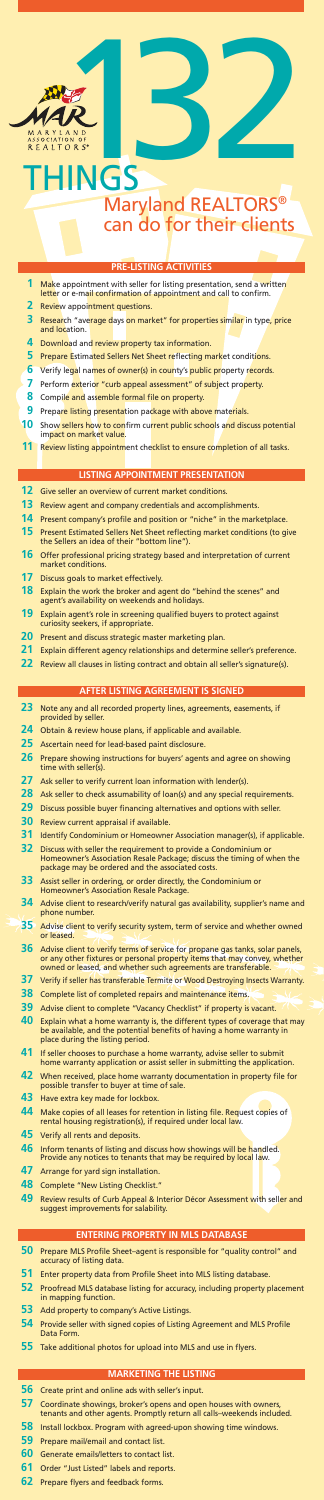## **PRE-LISTING ACTIVITIES**

- Make appointment with seller for listing presentation, send a written letter or e-mail confirmation of appointment and call to confirm.
- Review appointment questions.
- Research "average days on market" for properties similar in type, price and location.
- Download and review property tax information.
- Prepare Estimated Sellers Net Sheet reflecting market conditions.
- Verify legal names of owner(s) in county's public property records.
- Perform exterior "curb appeal assessment" of subject property.
- Compile and assemble formal file on property.
- Prepare listing presentation package with above materials.
- Show sellers how to confirm current public schools and discuss potential impact on market value.
- Review listing appointment checklist to ensure completion of all tasks.

#### **LISTING APPOINTMENT PRESENTATION**

- Give seller an overview of current market conditions.
- Review agent and company credentials and accomplishments.
- Present company's profile and position or "niche" in the marketplace.
- Present Estimated Sellers Net Sheet reflecting market conditions (to give the Sellers an idea of their "bottom line").
- Offer professional pricing strategy based and interpretation of current market conditions.
- Discuss goals to market effectively.
- Explain the work the broker and agent do "behind the scenes" and agent's availability on weekends and holidays.
- Explain agent's role in screening qualified buyers to protect against curiosity seekers, if appropriate.
- Present and discuss strategic master marketing plan.
- Explain different agency relationships and determine seller's preference.
- Review all clauses in listing contract and obtain all seller's signature(s).

#### **AFTER LISTING AGREEMENT IS SIGNED**

- Note any and all recorded property lines, agreements, easements, if provided by seller.
- Obtain & review house plans, if applicable and available.
- Ascertain need for lead-based paint disclosure.
- Prepare showing instructions for buyers' agents and agree on showing time with seller(s).
- Ask seller to verify current loan information with lender(s).
- Ask seller to check assumability of loan(s) and any special requirements.
- Discuss possible buyer financing alternatives and options with seller.
- Review current appraisal if available.
- Identify Condominium or Homeowner Association manager(s), if applicable.
- Discuss with seller the requirement to provide a Condominium or Homeowner's Association Resale Package; discuss the timing of when the package may be ordered and the associated costs.
- Assist seller in ordering, or order directly, the Condominium or Homeowner's Association Resale Package.
- Advise client to research/verify natural gas availability, supplier's name and phone number.
- Advise client to verify security system, term of service and whether owned or leased.
- Advise client to verify terms of service for propane gas tanks, solar panels, or any other fixtures or personal property items that may convey, whether owned or leased, and whether such agreements are transferable.
- Verify if seller has transferable Termite or Wood Destroying Insects Warranty.
- Complete list of completed repairs and maintenance items.
- Advise client to complete "Vacancy Checklist" if property is vacant.
- Explain what a home warranty is, the different types of coverage that may be available, and the potential benefits of having a home warranty in place during the listing period.
- If seller chooses to purchase a home warranty, advise seller to submit home warranty application or assist seller in submitting the application.
- When received, place home warranty documentation in property file for possible transfer to buyer at time of sale.
- Have extra key made for lockbox.
- Make copies of all leases for retention in listing file. Request copies of rental housing registration(s), if required under local law.
- Verify all rents and deposits.
- Inform tenants of listing and discuss how showings will be handled. Provide any notices to tenants that may be required by local law.
- Arrange for yard sign installation.
- Complete "New Listing Checklist."
- Review results of Curb Appeal & Interior Décor Assessment with seller and suggest improvements for salability.

#### **ENTERING PROPERTY IN MLS DATABASE**

- Prepare MLS Profile Sheet–agent is responsible for "quality control" and accuracy of listing data.
- Enter property data from Profile Sheet into MLS listing database.
- Proofread MLS database listing for accuracy, including property placement in mapping function.
- Add property to company's Active Listings.
- Provide seller with signed copies of Listing Agreement and MLS Profile Data Form.
- Take additional photos for upload into MLS and use in flyers.

#### **MARKETING THE LISTING**

- Create print and online ads with seller's input.
- Coordinate showings, broker's opens and open houses with owners, tenants and other agents. Promptly return all calls–weekends included.
- Install lockbox. Program with agreed-upon showing time windows.
- Prepare mail/email and contact list.
- Generate emails/letters to contact list.
- Order "Just Listed" labels and reports.

|  | 62 Prepare flyers and feedback forms. |  |
|--|---------------------------------------|--|
|  |                                       |  |



# Maryland REALTORS® can do for their clients **INGS**